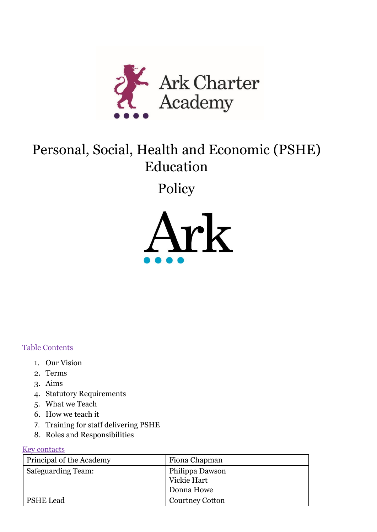

# Personal, Social, Health and Economic (PSHE) Education

Policy



#### Table Contents

- 1. Our Vision
- 2. Terms
- 3. Aims
- 4. Statutory Requirements
- 5. What we Teach
- 6. How we teach it
- 7. Training for staff delivering PSHE
- 8. Roles and Responsibilities

#### Key contacts

| Principal of the Academy  | Fiona Chapman                                |
|---------------------------|----------------------------------------------|
| <b>Safeguarding Team:</b> | Philippa Dawson<br>Vickie Hart<br>Donna Howe |
| <b>PSHE Lead</b>          | <b>Courtney Cotton</b>                       |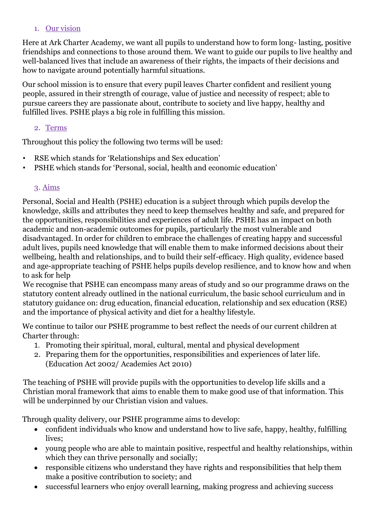#### 1. Our vision

Here at Ark Charter Academy, we want all pupils to understand how to form long- lasting, positive friendships and connections to those around them. We want to guide our pupils to live healthy and well-balanced lives that include an awareness of their rights, the impacts of their decisions and how to navigate around potentially harmful situations.

Our school mission is to ensure that every pupil leaves Charter confident and resilient young people, assured in their strength of courage, value of justice and necessity of respect; able to pursue careers they are passionate about, contribute to society and live happy, healthy and fulfilled lives. PSHE plays a big role in fulfilling this mission.

#### 2. Terms

Throughout this policy the following two terms will be used:

- RSE which stands for 'Relationships and Sex education'
- PSHE which stands for 'Personal, social, health and economic education'

## 3. Aims

Personal, Social and Health (PSHE) education is a subject through which pupils develop the knowledge, skills and attributes they need to keep themselves healthy and safe, and prepared for the opportunities, responsibilities and experiences of adult life. PSHE has an impact on both academic and non-academic outcomes for pupils, particularly the most vulnerable and disadvantaged. In order for children to embrace the challenges of creating happy and successful adult lives, pupils need knowledge that will enable them to make informed decisions about their wellbeing, health and relationships, and to build their self-efficacy. High quality, evidence based and age-appropriate teaching of PSHE helps pupils develop resilience, and to know how and when to ask for help

We recognise that PSHE can encompass many areas of study and so our programme draws on the statutory content already outlined in the national curriculum, the basic school curriculum and in statutory guidance on: drug education, financial education, relationship and sex education (RSE) and the importance of physical activity and diet for a healthy lifestyle.

We continue to tailor our PSHE programme to best reflect the needs of our current children at Charter through:

- 1. Promoting their spiritual, moral, cultural, mental and physical development
- 2. Preparing them for the opportunities, responsibilities and experiences of later life. (Education Act 2002/ Academies Act 2010)

The teaching of PSHE will provide pupils with the opportunities to develop life skills and a Christian moral framework that aims to enable them to make good use of that information. This will be underpinned by our Christian vision and values.

Through quality delivery, our PSHE programme aims to develop:

- confident individuals who know and understand how to live safe, happy, healthy, fulfilling lives;
- young people who are able to maintain positive, respectful and healthy relationships, within which they can thrive personally and socially;
- responsible citizens who understand they have rights and responsibilities that help them make a positive contribution to society; and
- successful learners who enjoy overall learning, making progress and achieving success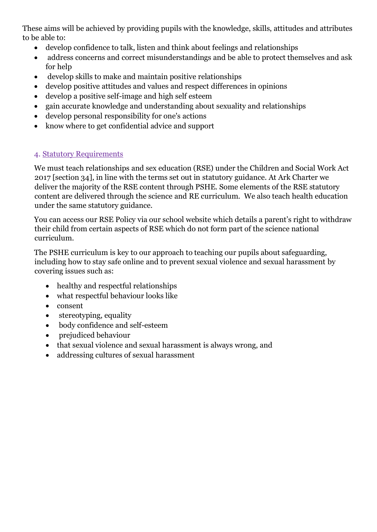These aims will be achieved by providing pupils with the knowledge, skills, attitudes and attributes to be able to:

- develop confidence to talk, listen and think about feelings and relationships
- address concerns and correct misunderstandings and be able to protect themselves and ask for help
- develop skills to make and maintain positive relationships
- develop positive attitudes and values and respect differences in opinions
- develop a positive self-image and high self esteem
- gain accurate knowledge and understanding about sexuality and relationships
- develop personal responsibility for one's actions
- know where to get confidential advice and support

## 4. Statutory Requirements

We must teach relationships and sex education (RSE) under the Children and Social Work Act 2017 [section 34], in line with the terms set out in statutory guidance. At Ark Charter we deliver the majority of the RSE content through PSHE. Some elements of the RSE statutory content are delivered through the science and RE curriculum. We also teach health education under the same statutory guidance.

You can access our RSE Policy via our school website which details a parent's right to withdraw their child from certain aspects of RSE which do not form part of the science national curriculum.

The PSHE curriculum is key to our approach to teaching our pupils about safeguarding, including how to stay safe online and to prevent sexual violence and sexual harassment by covering issues such as:

- healthy and respectful relationships
- what respectful behaviour looks like
- consent
- stereotyping, equality
- body confidence and self-esteem
- prejudiced behaviour
- that sexual violence and sexual harassment is always wrong, and
- addressing cultures of sexual harassment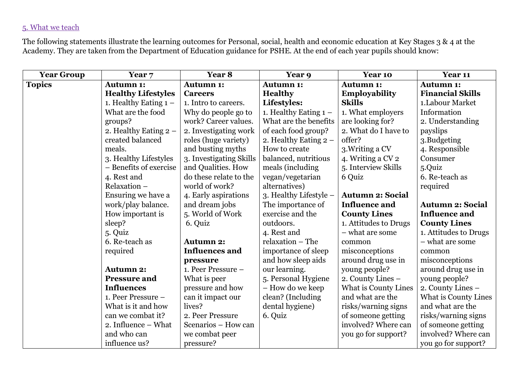# 5. What we teach

The following statements illustrate the learning outcomes for Personal, social, health and economic education at Key Stages 3 & 4 at the Academy. They are taken from the Department of Education guidance for PSHE. At the end of each year pupils should know:

| <b>Year Group</b> | Year 7                    | Year 8                  | Year 9                  | Year 10                 | Year 11                 |
|-------------------|---------------------------|-------------------------|-------------------------|-------------------------|-------------------------|
| <b>Topics</b>     | <b>Autumn 1:</b>          | <b>Autumn 1:</b>        | <b>Autumn 1:</b>        | <b>Autumn 1:</b>        | <b>Autumn 1:</b>        |
|                   | <b>Healthy Lifestyles</b> | <b>Careers</b>          | <b>Healthy</b>          | <b>Employability</b>    | <b>Financial Skills</b> |
|                   | 1. Healthy Eating $1 -$   | 1. Intro to careers.    | Lifestyles:             | <b>Skills</b>           | 1. Labour Market        |
|                   | What are the food         | Why do people go to     | 1. Healthy Eating $1 -$ | 1. What employers       | Information             |
|                   | groups?                   | work? Career values.    | What are the benefits   | are looking for?        | 2. Understanding        |
|                   | 2. Healthy Eating $2 -$   | 2. Investigating work   | of each food group?     | 2. What do I have to    | payslips                |
|                   | created balanced          | roles (huge variety)    | 2. Healthy Eating $2 -$ | offer?                  | 3.Budgeting             |
|                   | meals.                    | and busting myths       | How to create           | 3. Writing a CV         | 4. Responsible          |
|                   | 3. Healthy Lifestyles     | 3. Investigating Skills | balanced, nutritious    | 4. Writing a CV 2       | Consumer                |
|                   | - Benefits of exercise    | and Qualities. How      | meals (including        | 5. Interview Skills     | 5.Quiz                  |
|                   | 4. Rest and               | do these relate to the  | vegan/vegetarian        | 6 Quiz                  | 6. Re-teach as          |
|                   | Relaxation -              | world of work?          | alternatives)           |                         | required                |
|                   | Ensuring we have a        | 4. Early aspirations    | 3. Healthy Lifestyle -  | <b>Autumn 2: Social</b> |                         |
|                   | work/play balance.        | and dream jobs          | The importance of       | <b>Influence and</b>    | <b>Autumn 2: Social</b> |
|                   | How important is          | 5. World of Work        | exercise and the        | <b>County Lines</b>     | <b>Influence and</b>    |
|                   | sleep?                    | 6. Quiz                 | outdoors.               | 1. Attitudes to Drugs   | <b>County Lines</b>     |
|                   | 5. Quiz                   |                         | 4. Rest and             | - what are some         | 1. Attitudes to Drugs   |
|                   | 6. Re-teach as            | <b>Autumn 2:</b>        | relaxation - The        | common                  | - what are some         |
|                   | required                  | <b>Influences</b> and   | importance of sleep     | misconceptions          | common                  |
|                   |                           | pressure                | and how sleep aids      | around drug use in      | misconceptions          |
|                   | <b>Autumn 2:</b>          | 1. Peer Pressure -      | our learning.           | young people?           | around drug use in      |
|                   | <b>Pressure and</b>       | What is peer            | 5. Personal Hygiene     | 2. County Lines -       | young people?           |
|                   | <b>Influences</b>         | pressure and how        | - How do we keep        | What is County Lines    | 2. County Lines -       |
|                   | 1. Peer Pressure -        | can it impact our       | clean? (Including       | and what are the        | What is County Lines    |
|                   | What is it and how        | lives?                  | dental hygiene)         | risks/warning signs     | and what are the        |
|                   | can we combat it?         | 2. Peer Pressure        | 6. Quiz                 | of someone getting      | risks/warning signs     |
|                   | 2. Influence – What       | Scenarios - How can     |                         | involved? Where can     | of someone getting      |
|                   | and who can               | we combat peer          |                         | you go for support?     | involved? Where can     |
|                   | influence us?             | pressure?               |                         |                         | you go for support?     |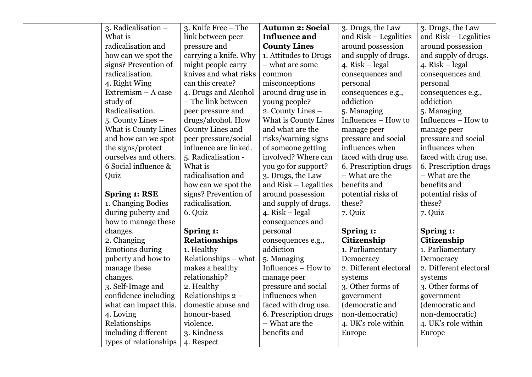| 3. Radicalisation -    | 3. Knife Free – The   | <b>Autumn 2: Social</b> | 3. Drugs, the Law      | 3. Drugs, the Law      |
|------------------------|-----------------------|-------------------------|------------------------|------------------------|
| What is                | link between peer     | <b>Influence and</b>    | and Risk – Legalities  | and Risk – Legalities  |
| radicalisation and     | pressure and          | <b>County Lines</b>     | around possession      | around possession      |
| how can we spot the    | carrying a knife. Why | 1. Attitudes to Drugs   | and supply of drugs.   | and supply of drugs.   |
| signs? Prevention of   | might people carry    | - what are some         | 4. $Risk - legal$      | 4. $Risk - legal$      |
| radicalisation.        | knives and what risks | common                  | consequences and       | consequences and       |
| 4. Right Wing          | can this create?      | misconceptions          | personal               | personal               |
| Extremism $-$ A case   | 4. Drugs and Alcohol  | around drug use in      | consequences e.g.,     | consequences e.g.,     |
| study of               | - The link between    | young people?           | addiction              | addiction              |
| Radicalisation.        | peer pressure and     | 2. County Lines -       | 5. Managing            | 5. Managing            |
| 5. County Lines -      | drugs/alcohol. How    | What is County Lines    | Influences - How to    | Influences - How to    |
| What is County Lines   | County Lines and      | and what are the        | manage peer            | manage peer            |
| and how can we spot    | peer pressure/social  | risks/warning signs     | pressure and social    | pressure and social    |
| the signs/protect      | influence are linked. | of someone getting      | influences when        | influences when        |
| ourselves and others.  | 5. Radicalisation -   | involved? Where can     | faced with drug use.   | faced with drug use.   |
| 6 Social influence &   | What is               | you go for support?     | 6. Prescription drugs  | 6. Prescription drugs  |
| Quiz                   | radicalisation and    | 3. Drugs, the Law       | - What are the         | - What are the         |
|                        | how can we spot the   | and Risk – Legalities   | benefits and           | benefits and           |
| <b>Spring 1: RSE</b>   | signs? Prevention of  | around possession       | potential risks of     | potential risks of     |
| 1. Changing Bodies     | radicalisation.       | and supply of drugs.    | these?                 | these?                 |
| during puberty and     | 6. Quiz               | 4. $Risk - legal$       | 7. Quiz                | 7. Quiz                |
| how to manage these    |                       | consequences and        |                        |                        |
| changes.               | Spring 1:             | personal                | Spring 1:              | Spring 1:              |
| 2. Changing            | <b>Relationships</b>  | consequences e.g.,      | Citizenship            | Citizenship            |
| <b>Emotions during</b> | 1. Healthy            | addiction               | 1. Parliamentary       | 1. Parliamentary       |
| puberty and how to     | Relationships – what  | 5. Managing             | Democracy              | Democracy              |
| manage these           | makes a healthy       | Influences - How to     | 2. Different electoral | 2. Different electoral |
| changes.               | relationship?         | manage peer             | systems                | systems                |
| 3. Self-Image and      | 2. Healthy            | pressure and social     | 3. Other forms of      | 3. Other forms of      |
| confidence including   | Relationships 2 -     | influences when         | government             | government             |
| what can impact this.  | domestic abuse and    | faced with drug use.    | (democratic and        | (democratic and        |
| 4. Loving              | honour-based          | 6. Prescription drugs   | non-democratic)        | non-democratic)        |
| Relationships          | violence.             | - What are the          | 4. UK's role within    | 4. UK's role within    |
| including different    | 3. Kindness           | benefits and            | Europe                 | Europe                 |
| types of relationships | 4. Respect            |                         |                        |                        |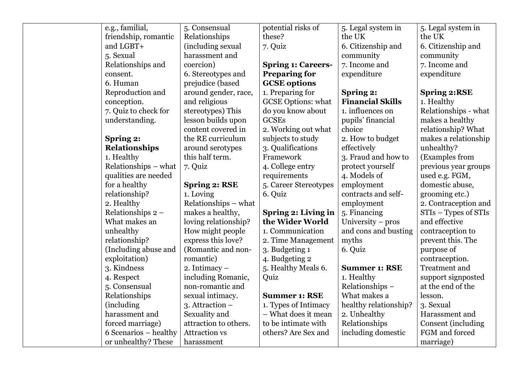| e.g., familial,       | 5. Consensual         | potential risks of        | 5. Legal system in      | 5. Legal system in   |
|-----------------------|-----------------------|---------------------------|-------------------------|----------------------|
| friendship, romantic  | Relationships         | these?                    | the UK                  | the UK               |
| and LGBT+             | (including sexual     | 7. Quiz                   | 6. Citizenship and      | 6. Citizenship and   |
| 5. Sexual             | harassment and        |                           | community               | community            |
| Relationships and     | coercion)             | <b>Spring 1: Careers-</b> | 7. Income and           | 7. Income and        |
| consent.              | 6. Stereotypes and    | <b>Preparing for</b>      | expenditure             | expenditure          |
| 6. Human              | prejudice (based      | <b>GCSE</b> options       |                         |                      |
| Reproduction and      | around gender, race,  | 1. Preparing for          | Spring 2:               | <b>Spring 2:RSE</b>  |
| conception.           | and religious         | <b>GCSE Options: what</b> | <b>Financial Skills</b> | 1. Healthy           |
| 7. Quiz to check for  | stereotypes) This     | do you know about         | 1. influences on        | Relationships - what |
| understanding.        | lesson builds upon    | <b>GCSEs</b>              | pupils' financial       | makes a healthy      |
|                       | content covered in    | 2. Working out what       | choice                  | relationship? What   |
| Spring 2:             | the RE curriculum     | subjects to study         | 2. How to budget        | makes a relationship |
| <b>Relationships</b>  | around serotypes      | 3. Qualifications         | effectively             | unhealthy?           |
| 1. Healthy            | this half term.       | Framework                 | 3. Fraud and how to     | (Examples from       |
| Relationships – what  | 7. Quiz               | 4. College entry          | protect yourself        | previous year groups |
| qualities are needed  |                       | requirements              | 4. Models of            | used e.g. FGM,       |
| for a healthy         | <b>Spring 2: RSE</b>  | 5. Career Stereotypes     | employment              | domestic abuse,      |
| relationship?         | 1. Loving             | 6. Quiz                   | contracts and self-     | grooming etc.)       |
| 2. Healthy            | Relationships – what  |                           | employment              | 2. Contraception and |
| Relationships 2 -     | makes a healthy,      | Spring 2: Living in       | 5. Financing            | STIs - Types of STIs |
| What makes an         | loving relationship?  | the Wider World           | University - pros       | and effective        |
| unhealthy             | How might people      | 1. Communication          | and cons and busting    | contraception to     |
| relationship?         | express this love?    | 2. Time Management        | myths                   | prevent this. The    |
| (Including abuse and  | (Romantic and non-    | 3. Budgeting 1            | 6. Quiz                 | purpose of           |
| exploitation)         | romantic)             | 4. Budgeting 2            |                         | contraception.       |
| 3. Kindness           | 2. Intimacy $-$       | 5. Healthy Meals 6.       | <b>Summer 1: RSE</b>    | Treatment and        |
| 4. Respect            | including Romanic,    | Quiz                      | 1. Healthy              | support signposted   |
| 5. Consensual         | non-romantic and      |                           | Relationships-          | at the end of the    |
| Relationships         | sexual intimacy.      | <b>Summer 1: RSE</b>      | What makes a            | lesson.              |
| (including)           | $3.$ Attraction $-$   | 1. Types of Intimacy      | healthy relationship?   | 3. Sexual            |
| harassment and        | Sexuality and         | - What does it mean       | 2. Unhealthy            | Harassment and       |
| forced marriage)      | attraction to others. | to be intimate with       | Relationships           | Consent (including   |
| 6 Scenarios – healthy | <b>Attraction vs</b>  | others? Are Sex and       | including domestic      | FGM and forced       |
| or unhealthy? These   | harassment            |                           |                         | marriage)            |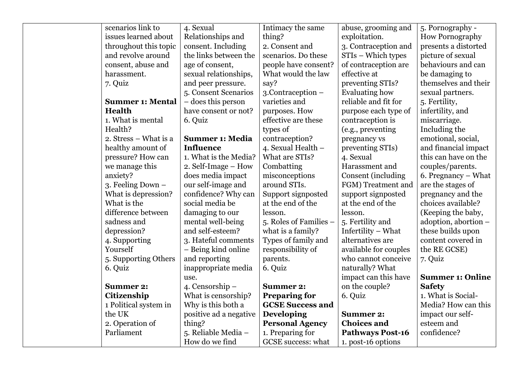| scenarios link to       | 4. Sexual               | Intimacy the same       | abuse, grooming and     | 5. Pornography -        |
|-------------------------|-------------------------|-------------------------|-------------------------|-------------------------|
| issues learned about    | Relationships and       | thing?                  | exploitation.           | How Pornography         |
| throughout this topic   | consent. Including      | 2. Consent and          | 3. Contraception and    | presents a distorted    |
| and revolve around      | the links between the   | scenarios. Do these     | STIs – Which types      | picture of sexual       |
| consent, abuse and      | age of consent,         | people have consent?    | of contraception are    | behaviours and can      |
| harassment.             | sexual relationships,   | What would the law      | effective at            | be damaging to          |
| 7. Quiz                 | and peer pressure.      | say?                    | preventing STIs?        | themselves and their    |
|                         | 5. Consent Scenarios    | 3.Contraception -       | Evaluating how          | sexual partners.        |
| <b>Summer 1: Mental</b> | $\!$ - does this person | varieties and           | reliable and fit for    | 5. Fertility,           |
| <b>Health</b>           | have consent or not?    | purposes. How           | purpose each type of    | infertility, and        |
| 1. What is mental       | 6. Quiz                 | effective are these     | contraception is        | miscarriage.            |
| Health?                 |                         | types of                | (e.g., preventing       | Including the           |
| 2. Stress – What is a   | <b>Summer 1: Media</b>  | contraception?          | pregnancy vs            | emotional, social,      |
| healthy amount of       | <b>Influence</b>        | 4. Sexual Health -      | preventing STIs)        | and financial impact    |
| pressure? How can       | 1. What is the Media?   | What are STIs?          | 4. Sexual               | this can have on the    |
| we manage this          | 2. Self-Image – How     | Combatting              | Harassment and          | couples/parents.        |
| anxiety?                | does media impact       | misconceptions          | Consent (including      | 6. Pregnancy – What     |
| 3. Feeling Down $-$     | our self-image and      | around STIs.            | FGM) Treatment and      | are the stages of       |
| What is depression?     | confidence? Why can     | Support signposted      | support signposted      | pregnancy and the       |
| What is the             | social media be         | at the end of the       | at the end of the       | choices available?      |
| difference between      | damaging to our         | lesson.                 | lesson.                 | (Keeping the baby,      |
| sadness and             | mental well-being       | 5. Roles of Families –  | 5. Fertility and        | adoption, abortion -    |
| depression?             | and self-esteem?        | what is a family?       | Infertility – What      | these builds upon       |
| 4. Supporting           | 3. Hateful comments     | Types of family and     | alternatives are        | content covered in      |
| Yourself                | - Being kind online     | responsibility of       | available for couples   | the RE GCSE)            |
| 5. Supporting Others    | and reporting           | parents.                | who cannot conceive     | 7. Quiz                 |
| 6. Quiz                 | inappropriate media     | 6. Quiz                 | naturally? What         |                         |
|                         | use.                    |                         | impact can this have    | <b>Summer 1: Online</b> |
| <b>Summer 2:</b>        | 4. Censorship -         | <b>Summer 2:</b>        | on the couple?          | <b>Safety</b>           |
| Citizenship             | What is censorship?     | <b>Preparing for</b>    | 6. Quiz                 | 1. What is Social-      |
| 1 Political system in   | Why is this both a      | <b>GCSE Success and</b> |                         | Media? How can this     |
| the UK                  | positive ad a negative  | <b>Developing</b>       | <b>Summer 2:</b>        | impact our self-        |
| 2. Operation of         | thing?                  | <b>Personal Agency</b>  | <b>Choices and</b>      | esteem and              |
| Parliament              | 5. Reliable Media –     | 1. Preparing for        | <b>Pathways Post-16</b> | confidence?             |
|                         | How do we find          | GCSE success: what      | 1. post-16 options      |                         |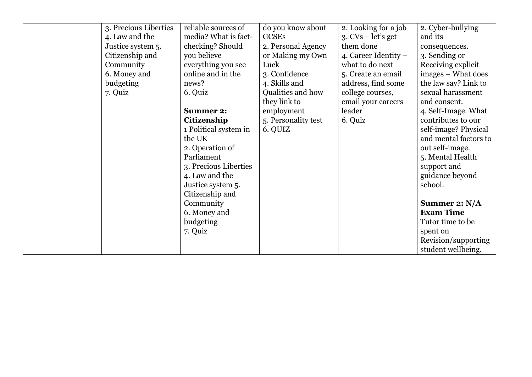| 3. Precious Liberties | reliable sources of   | do you know about   | 2. Looking for a job   | 2. Cyber-bullying     |
|-----------------------|-----------------------|---------------------|------------------------|-----------------------|
| 4. Law and the        | media? What is fact-  | GCSEs               | $3. CVs - let's get$   | and its               |
| Justice system 5.     | checking? Should      | 2. Personal Agency  | them done              | consequences.         |
| Citizenship and       | you believe           | or Making my Own    | 4. Career Identity $-$ | 3. Sending or         |
| Community             | everything you see    | Luck                | what to do next        | Receiving explicit    |
| 6. Money and          | online and in the     | 3. Confidence       | 5. Create an email     | images – What does    |
| budgeting             | news?                 | 4. Skills and       | address, find some     | the law say? Link to  |
| 7. Quiz               | 6. Quiz               | Qualities and how   | college courses,       | sexual harassment     |
|                       |                       | they link to        | email your careers     | and consent.          |
|                       | <b>Summer 2:</b>      | employment          | leader                 | 4. Self-Image. What   |
|                       | Citizenship           | 5. Personality test | 6. Quiz                | contributes to our    |
|                       | 1 Political system in | 6. QUIZ             |                        | self-image? Physical  |
|                       | the UK                |                     |                        | and mental factors to |
|                       | 2. Operation of       |                     |                        | out self-image.       |
|                       | Parliament            |                     |                        | 5. Mental Health      |
|                       | 3. Precious Liberties |                     |                        | support and           |
|                       | 4. Law and the        |                     |                        | guidance beyond       |
|                       | Justice system 5.     |                     |                        | school.               |
|                       | Citizenship and       |                     |                        |                       |
|                       | Community             |                     |                        | Summer 2: $N/A$       |
|                       | 6. Money and          |                     |                        | <b>Exam Time</b>      |
|                       | budgeting             |                     |                        | Tutor time to be      |
|                       | 7. Quiz               |                     |                        | spent on              |
|                       |                       |                     |                        | Revision/supporting   |
|                       |                       |                     |                        | student wellbeing.    |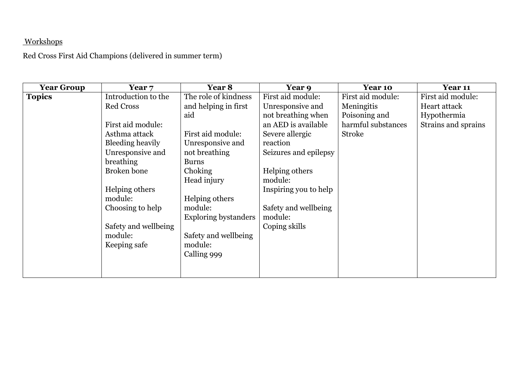# Workshops

Red Cross First Aid Champions (delivered in summer term)

| <b>Year Group</b> | Year 7               | Year 8                      | <b>Year 9</b>         | Year 10            | Year 11             |
|-------------------|----------------------|-----------------------------|-----------------------|--------------------|---------------------|
| <b>Topics</b>     | Introduction to the  | The role of kindness        | First aid module:     | First aid module:  | First aid module:   |
|                   | <b>Red Cross</b>     | and helping in first        | Unresponsive and      | Meningitis         | Heart attack        |
|                   |                      | aid                         | not breathing when    | Poisoning and      | Hypothermia         |
|                   | First aid module:    |                             | an AED is available   | harmful substances | Strains and sprains |
|                   | Asthma attack        | First aid module:           | Severe allergic       | <b>Stroke</b>      |                     |
|                   | Bleeding heavily     | Unresponsive and            | reaction              |                    |                     |
|                   | Unresponsive and     | not breathing               | Seizures and epilepsy |                    |                     |
|                   | breathing            | <b>Burns</b>                |                       |                    |                     |
|                   | <b>Broken</b> bone   | Choking                     | Helping others        |                    |                     |
|                   |                      | Head injury                 | module:               |                    |                     |
|                   | Helping others       |                             | Inspiring you to help |                    |                     |
|                   | module:              | Helping others              |                       |                    |                     |
|                   | Choosing to help     | module:                     | Safety and wellbeing  |                    |                     |
|                   |                      | <b>Exploring bystanders</b> | module:               |                    |                     |
|                   | Safety and wellbeing |                             | Coping skills         |                    |                     |
|                   | module:              | Safety and wellbeing        |                       |                    |                     |
|                   | Keeping safe         | module:                     |                       |                    |                     |
|                   |                      | Calling 999                 |                       |                    |                     |
|                   |                      |                             |                       |                    |                     |
|                   |                      |                             |                       |                    |                     |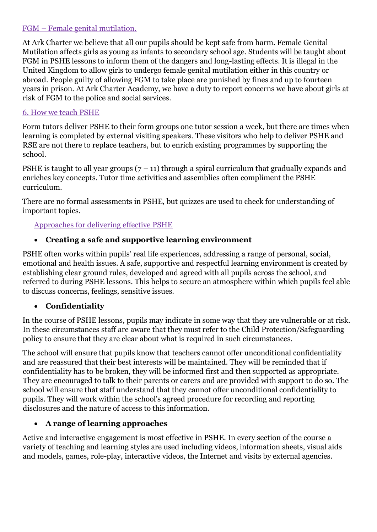#### FGM – Female genital mutilation.

At Ark Charter we believe that all our pupils should be kept safe from harm. Female Genital Mutilation affects girls as young as infants to secondary school age. Students will be taught about FGM in PSHE lessons to inform them of the dangers and long-lasting effects. It is illegal in the United Kingdom to allow girls to undergo female genital mutilation either in this country or abroad. People guilty of allowing FGM to take place are punished by fines and up to fourteen years in prison. At Ark Charter Academy, we have a duty to report concerns we have about girls at risk of FGM to the police and social services.

#### 6. How we teach PSHE

Form tutors deliver PSHE to their form groups one tutor session a week, but there are times when learning is completed by external visiting speakers. These visitors who help to deliver PSHE and RSE are not there to replace teachers, but to enrich existing programmes by supporting the school.

PSHE is taught to all year groups  $(7 - 11)$  through a spiral curriculum that gradually expands and enriches key concepts. Tutor time activities and assemblies often compliment the PSHE curriculum.

There are no formal assessments in PSHE, but quizzes are used to check for understanding of important topics.

#### Approaches for delivering effective PSHE

#### • **Creating a safe and supportive learning environment**

PSHE often works within pupils' real life experiences, addressing a range of personal, social, emotional and health issues. A safe, supportive and respectful learning environment is created by establishing clear ground rules, developed and agreed with all pupils across the school, and referred to during PSHE lessons. This helps to secure an atmosphere within which pupils feel able to discuss concerns, feelings, sensitive issues.

#### • **Confidentiality**

In the course of PSHE lessons, pupils may indicate in some way that they are vulnerable or at risk. In these circumstances staff are aware that they must refer to the Child Protection/Safeguarding policy to ensure that they are clear about what is required in such circumstances.

The school will ensure that pupils know that teachers cannot offer unconditional confidentiality and are reassured that their best interests will be maintained. They will be reminded that if confidentiality has to be broken, they will be informed first and then supported as appropriate. They are encouraged to talk to their parents or carers and are provided with support to do so. The school will ensure that staff understand that they cannot offer unconditional confidentiality to pupils. They will work within the school's agreed procedure for recording and reporting disclosures and the nature of access to this information.

#### • **A range of learning approaches**

Active and interactive engagement is most effective in PSHE. In every section of the course a variety of teaching and learning styles are used including videos, information sheets, visual aids and models, games, role-play, interactive videos, the Internet and visits by external agencies.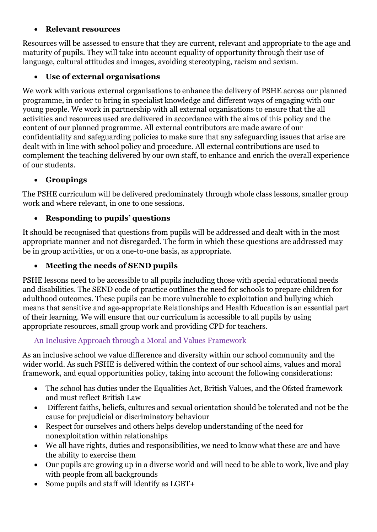#### • **Relevant resources**

Resources will be assessed to ensure that they are current, relevant and appropriate to the age and maturity of pupils. They will take into account equality of opportunity through their use of language, cultural attitudes and images, avoiding stereotyping, racism and sexism.

# • **Use of external organisations**

We work with various external organisations to enhance the delivery of PSHE across our planned programme, in order to bring in specialist knowledge and different ways of engaging with our young people. We work in partnership with all external organisations to ensure that the all activities and resources used are delivered in accordance with the aims of this policy and the content of our planned programme. All external contributors are made aware of our confidentiality and safeguarding policies to make sure that any safeguarding issues that arise are dealt with in line with school policy and procedure. All external contributions are used to complement the teaching delivered by our own staff, to enhance and enrich the overall experience of our students.

# • **Groupings**

The PSHE curriculum will be delivered predominately through whole class lessons, smaller group work and where relevant, in one to one sessions.

# • **Responding to pupils' questions**

It should be recognised that questions from pupils will be addressed and dealt with in the most appropriate manner and not disregarded. The form in which these questions are addressed may be in group activities, or on a one-to-one basis, as appropriate.

# • **Meeting the needs of SEND pupils**

PSHE lessons need to be accessible to all pupils including those with special educational needs and disabilities. The SEND code of practice outlines the need for schools to prepare children for adulthood outcomes. These pupils can be more vulnerable to exploitation and bullying which means that sensitive and age-appropriate Relationships and Health Education is an essential part of their learning. We will ensure that our curriculum is accessible to all pupils by using appropriate resources, small group work and providing CPD for teachers.

## An Inclusive Approach through a Moral and Values Framework

As an inclusive school we value difference and diversity within our school community and the wider world. As such PSHE is delivered within the context of our school aims, values and moral framework, and equal opportunities policy, taking into account the following considerations:

- The school has duties under the Equalities Act, British Values, and the Ofsted framework and must reflect British Law
- Different faiths, beliefs, cultures and sexual orientation should be tolerated and not be the cause for prejudicial or discriminatory behaviour
- Respect for ourselves and others helps develop understanding of the need for nonexploitation within relationships
- We all have rights, duties and responsibilities, we need to know what these are and have the ability to exercise them
- Our pupils are growing up in a diverse world and will need to be able to work, live and play with people from all backgrounds
- Some pupils and staff will identify as LGBT+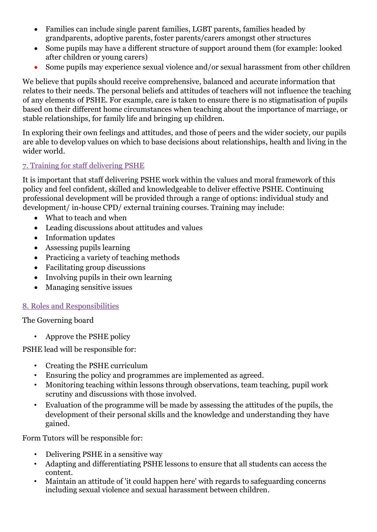- Families can include single parent families, LGBT parents, families headed by grandparents, adoptive parents, foster parents/carers amongst other structures
- Some pupils may have a different structure of support around them (for example: looked after children or young carers)
- Some pupils may experience sexual violence and/or sexual harassment from other children

We believe that pupils should receive comprehensive, balanced and accurate information that relates to their needs. The personal beliefs and attitudes of teachers will not influence the teaching of any elements of PSHE. For example, care is taken to ensure there is no stigmatisation of pupils based on their different home circumstances when teaching about the importance of marriage, or stable relationships, for family life and bringing up children.

In exploring their own feelings and attitudes, and those of peers and the wider society, our pupils are able to develop values on which to base decisions about relationships, health and living in the wider world.

#### 7. Training for staff delivering PSHE

It is important that staff delivering PSHE work within the values and moral framework of this policy and feel confident, skilled and knowledgeable to deliver effective PSHE. Continuing professional development will be provided through a range of options: individual study and development/ in-house CPD/ external training courses. Training may include:

- What to teach and when
- Leading discussions about attitudes and values
- Information updates
- Assessing pupils learning
- Practicing a variety of teaching methods
- Facilitating group discussions
- Involving pupils in their own learning
- Managing sensitive issues

#### 8. Roles and Responsibilities

The Governing board

• Approve the PSHE policy

PSHE lead will be responsible for:

- Creating the PSHE curriculum
- Ensuring the policy and programmes are implemented as agreed.
- Monitoring teaching within lessons through observations, team teaching, pupil work scrutiny and discussions with those involved.
- Evaluation of the programme will be made by assessing the attitudes of the pupils, the development of their personal skills and the knowledge and understanding they have gained.

Form Tutors will be responsible for:

- Delivering PSHE in a sensitive way
- Adapting and differentiating PSHE lessons to ensure that all students can access the content.
- Maintain an attitude of 'it could happen here' with regards to safeguarding concerns including sexual violence and sexual harassment between children.